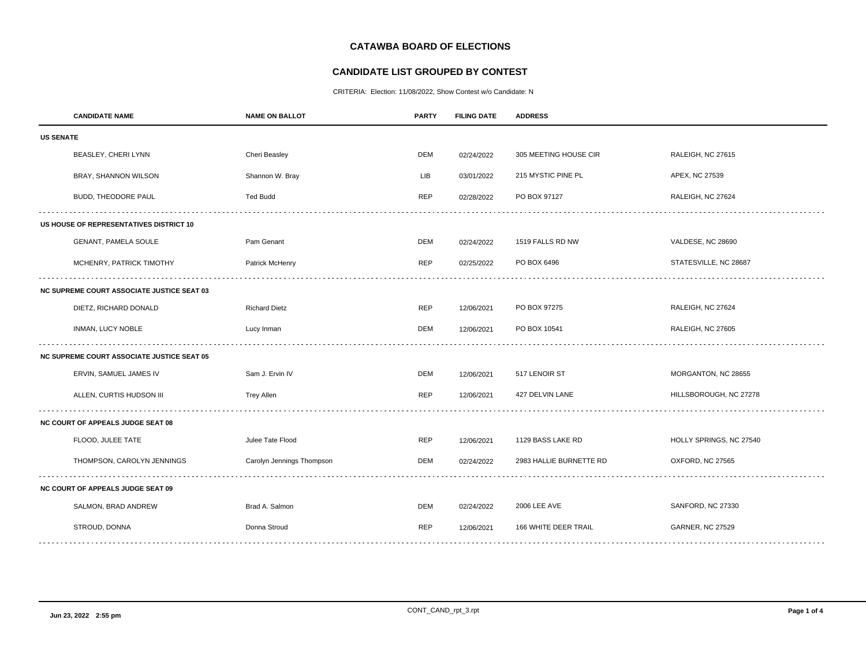# **CATAWBA BOARD OF ELECTIONS**

## **CANDIDATE LIST GROUPED BY CONTEST**

CRITERIA: Election: 11/08/2022, Show Contest w/o Candidate: N

|                                                   | <b>CANDIDATE NAME</b>      | <b>NAME ON BALLOT</b>     | <b>PARTY</b> | <b>FILING DATE</b> | <b>ADDRESS</b>          |                         |  |
|---------------------------------------------------|----------------------------|---------------------------|--------------|--------------------|-------------------------|-------------------------|--|
| <b>US SENATE</b>                                  |                            |                           |              |                    |                         |                         |  |
|                                                   | BEASLEY, CHERI LYNN        | Cheri Beasley             | <b>DEM</b>   | 02/24/2022         | 305 MEETING HOUSE CIR   | RALEIGH, NC 27615       |  |
|                                                   | BRAY, SHANNON WILSON       | Shannon W. Bray           | LIB          | 03/01/2022         | 215 MYSTIC PINE PL      | APEX, NC 27539          |  |
|                                                   | BUDD, THEODORE PAUL        | <b>Ted Budd</b>           | <b>REP</b>   | 02/28/2022         | PO BOX 97127            | RALEIGH, NC 27624       |  |
| US HOUSE OF REPRESENTATIVES DISTRICT 10           |                            |                           |              |                    |                         |                         |  |
|                                                   | GENANT, PAMELA SOULE       | Pam Genant                | <b>DEM</b>   | 02/24/2022         | 1519 FALLS RD NW        | VALDESE, NC 28690       |  |
|                                                   | MCHENRY, PATRICK TIMOTHY   | Patrick McHenry           | <b>REP</b>   | 02/25/2022         | PO BOX 6496             | STATESVILLE, NC 28687   |  |
| <b>NC SUPREME COURT ASSOCIATE JUSTICE SEAT 03</b> |                            |                           |              |                    |                         |                         |  |
|                                                   | DIETZ, RICHARD DONALD      | <b>Richard Dietz</b>      | <b>REP</b>   | 12/06/2021         | PO BOX 97275            | RALEIGH, NC 27624       |  |
|                                                   | INMAN, LUCY NOBLE          | Lucy Inman                | <b>DEM</b>   | 12/06/2021         | PO BOX 10541            | RALEIGH, NC 27605       |  |
| <b>NC SUPREME COURT ASSOCIATE JUSTICE SEAT 05</b> |                            |                           |              |                    |                         |                         |  |
|                                                   | ERVIN, SAMUEL JAMES IV     | Sam J. Ervin IV           | <b>DEM</b>   | 12/06/2021         | 517 LENOIR ST           | MORGANTON, NC 28655     |  |
|                                                   | ALLEN, CURTIS HUDSON III   | <b>Trey Allen</b>         | <b>REP</b>   | 12/06/2021         | 427 DELVIN LANE         | HILLSBOROUGH, NC 27278  |  |
| <b>NC COURT OF APPEALS JUDGE SEAT 08</b>          |                            |                           |              |                    |                         |                         |  |
|                                                   | FLOOD, JULEE TATE          | Julee Tate Flood          | <b>REP</b>   | 12/06/2021         | 1129 BASS LAKE RD       | HOLLY SPRINGS, NC 27540 |  |
|                                                   | THOMPSON, CAROLYN JENNINGS | Carolyn Jennings Thompson | DEM          | 02/24/2022         | 2983 HALLIE BURNETTE RD | OXFORD, NC 27565        |  |
| <b>NC COURT OF APPEALS JUDGE SEAT 09</b>          |                            |                           |              |                    |                         |                         |  |
|                                                   | SALMON, BRAD ANDREW        | Brad A. Salmon            | <b>DEM</b>   | 02/24/2022         | <b>2006 LEE AVE</b>     | SANFORD, NC 27330       |  |
|                                                   | STROUD, DONNA              | Donna Stroud              | REP          | 12/06/2021         | 166 WHITE DEER TRAIL    | <b>GARNER, NC 27529</b> |  |
|                                                   |                            |                           |              |                    |                         |                         |  |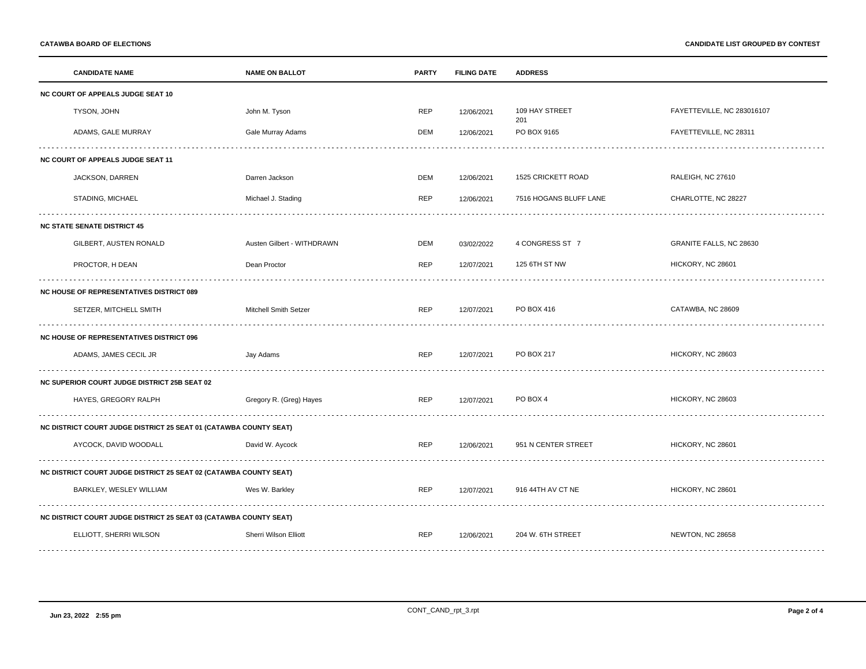|                                                                          | <b>CANDIDATE NAME</b>                                             | <b>NAME ON BALLOT</b>      | <b>PARTY</b> | <b>FILING DATE</b> | <b>ADDRESS</b>         |                            |  |
|--------------------------------------------------------------------------|-------------------------------------------------------------------|----------------------------|--------------|--------------------|------------------------|----------------------------|--|
| NC COURT OF APPEALS JUDGE SEAT 10                                        |                                                                   |                            |              |                    |                        |                            |  |
|                                                                          | TYSON, JOHN                                                       | John M. Tyson              | <b>REP</b>   | 12/06/2021         | 109 HAY STREET<br>201  | FAYETTEVILLE, NC 283016107 |  |
|                                                                          | ADAMS, GALE MURRAY                                                | Gale Murray Adams          | <b>DEM</b>   | 12/06/2021         | PO BOX 9165            | FAYETTEVILLE, NC 28311     |  |
| NC COURT OF APPEALS JUDGE SEAT 11                                        |                                                                   |                            |              |                    |                        |                            |  |
|                                                                          | JACKSON, DARREN                                                   | Darren Jackson             | <b>DEM</b>   | 12/06/2021         | 1525 CRICKETT ROAD     | RALEIGH, NC 27610          |  |
|                                                                          | STADING, MICHAEL                                                  | Michael J. Stading         | <b>REP</b>   | 12/06/2021         | 7516 HOGANS BLUFF LANE | CHARLOTTE, NC 28227        |  |
|                                                                          | <b>NC STATE SENATE DISTRICT 45</b>                                |                            |              |                    |                        |                            |  |
|                                                                          | GILBERT, AUSTEN RONALD                                            | Austen Gilbert - WITHDRAWN | <b>DEM</b>   | 03/02/2022         | 4 CONGRESS ST 7        | GRANITE FALLS, NC 28630    |  |
|                                                                          | PROCTOR, H DEAN                                                   | Dean Proctor               | <b>REP</b>   | 12/07/2021         | 125 6TH ST NW          | HICKORY, NC 28601          |  |
| <b>NC HOUSE OF REPRESENTATIVES DISTRICT 089</b>                          |                                                                   |                            |              |                    |                        |                            |  |
|                                                                          | SETZER, MITCHELL SMITH                                            | Mitchell Smith Setzer      | <b>REP</b>   | 12/07/2021         | PO BOX 416             | CATAWBA, NC 28609          |  |
| <b>NC HOUSE OF REPRESENTATIVES DISTRICT 096</b>                          |                                                                   |                            |              |                    |                        |                            |  |
|                                                                          | ADAMS, JAMES CECIL JR                                             | Jay Adams                  | <b>REP</b>   | 12/07/2021         | PO BOX 217             | HICKORY, NC 28603          |  |
|                                                                          | NC SUPERIOR COURT JUDGE DISTRICT 25B SEAT 02                      |                            |              |                    |                        |                            |  |
|                                                                          | HAYES, GREGORY RALPH                                              | Gregory R. (Greg) Hayes    | <b>REP</b>   | 12/07/2021         | PO BOX 4               | HICKORY, NC 28603          |  |
| <b>NC DISTRICT COURT JUDGE DISTRICT 25 SEAT 01 (CATAWBA COUNTY SEAT)</b> |                                                                   |                            |              |                    |                        |                            |  |
|                                                                          | AYCOCK, DAVID WOODALL                                             | David W. Aycock            | <b>REP</b>   | 12/06/2021         | 951 N CENTER STREET    | HICKORY, NC 28601          |  |
| <b>NC DISTRICT COURT JUDGE DISTRICT 25 SEAT 02 (CATAWBA COUNTY SEAT)</b> |                                                                   |                            |              |                    |                        |                            |  |
|                                                                          | BARKLEY, WESLEY WILLIAM                                           | Wes W. Barkley             | <b>REP</b>   | 12/07/2021         | 916 44TH AV CT NE      | HICKORY, NC 28601          |  |
|                                                                          | NC DISTRICT COURT JUDGE DISTRICT 25 SEAT 03 (CATAWBA COUNTY SEAT) |                            |              |                    |                        |                            |  |
|                                                                          | ELLIOTT, SHERRI WILSON                                            | Sherri Wilson Elliott      | <b>REP</b>   | 12/06/2021         | 204 W. 6TH STREET      | NEWTON, NC 28658           |  |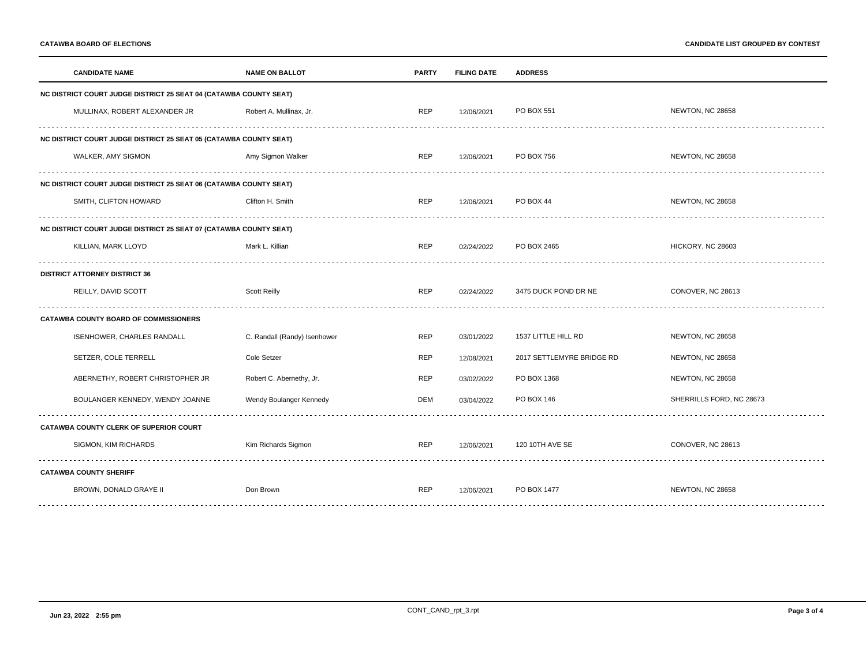|                                                                          | <b>CANDIDATE NAME</b>                                             | <b>NAME ON BALLOT</b>        | <b>PARTY</b> | <b>FILING DATE</b> | <b>ADDRESS</b>            |                          |  |  |
|--------------------------------------------------------------------------|-------------------------------------------------------------------|------------------------------|--------------|--------------------|---------------------------|--------------------------|--|--|
|                                                                          | NC DISTRICT COURT JUDGE DISTRICT 25 SEAT 04 (CATAWBA COUNTY SEAT) |                              |              |                    |                           |                          |  |  |
|                                                                          | MULLINAX, ROBERT ALEXANDER JR                                     | Robert A. Mullinax, Jr.      | <b>REP</b>   | 12/06/2021         | PO BOX 551                | NEWTON, NC 28658         |  |  |
| NC DISTRICT COURT JUDGE DISTRICT 25 SEAT 05 (CATAWBA COUNTY SEAT)        |                                                                   |                              |              |                    |                           |                          |  |  |
|                                                                          | WALKER, AMY SIGMON                                                | Amy Sigmon Walker            | <b>REP</b>   | 12/06/2021         | PO BOX 756                | NEWTON, NC 28658         |  |  |
| <b>NC DISTRICT COURT JUDGE DISTRICT 25 SEAT 06 (CATAWBA COUNTY SEAT)</b> |                                                                   |                              |              |                    |                           |                          |  |  |
|                                                                          | SMITH, CLIFTON HOWARD                                             | Clifton H. Smith             | <b>REP</b>   | 12/06/2021         | PO BOX 44                 | NEWTON, NC 28658         |  |  |
|                                                                          | NC DISTRICT COURT JUDGE DISTRICT 25 SEAT 07 (CATAWBA COUNTY SEAT) |                              |              |                    |                           |                          |  |  |
|                                                                          | KILLIAN, MARK LLOYD                                               | Mark L. Killian              | <b>REP</b>   | 02/24/2022         | PO BOX 2465               | HICKORY, NC 28603        |  |  |
| <b>DISTRICT ATTORNEY DISTRICT 36</b>                                     |                                                                   |                              |              |                    |                           |                          |  |  |
|                                                                          | REILLY, DAVID SCOTT                                               | <b>Scott Reilly</b>          | <b>REP</b>   | 02/24/2022         | 3475 DUCK POND DR NE      | CONOVER, NC 28613        |  |  |
| <b>CATAWBA COUNTY BOARD OF COMMISSIONERS</b>                             |                                                                   |                              |              |                    |                           |                          |  |  |
|                                                                          | <b>ISENHOWER, CHARLES RANDALL</b>                                 | C. Randall (Randy) Isenhower | <b>REP</b>   | 03/01/2022         | 1537 LITTLE HILL RD       | NEWTON, NC 28658         |  |  |
|                                                                          | SETZER, COLE TERRELL                                              | Cole Setzer                  | <b>REP</b>   | 12/08/2021         | 2017 SETTLEMYRE BRIDGE RD | NEWTON, NC 28658         |  |  |
|                                                                          | ABERNETHY, ROBERT CHRISTOPHER JR                                  | Robert C. Abernethy, Jr.     | <b>REP</b>   | 03/02/2022         | PO BOX 1368               | NEWTON, NC 28658         |  |  |
|                                                                          | BOULANGER KENNEDY, WENDY JOANNE                                   | Wendy Boulanger Kennedy      | DEM          | 03/04/2022         | PO BOX 146                | SHERRILLS FORD, NC 28673 |  |  |
| CATAWBA COUNTY CLERK OF SUPERIOR COURT                                   |                                                                   |                              |              |                    |                           |                          |  |  |
|                                                                          | SIGMON, KIM RICHARDS                                              | Kim Richards Sigmon          | <b>REP</b>   | 12/06/2021         | 120 10TH AVE SE           | CONOVER, NC 28613        |  |  |
| <b>CATAWBA COUNTY SHERIFF</b>                                            |                                                                   |                              |              |                    |                           |                          |  |  |
|                                                                          | BROWN, DONALD GRAYE II                                            | Don Brown                    | <b>REP</b>   | 12/06/2021         | PO BOX 1477               | NEWTON, NC 28658         |  |  |